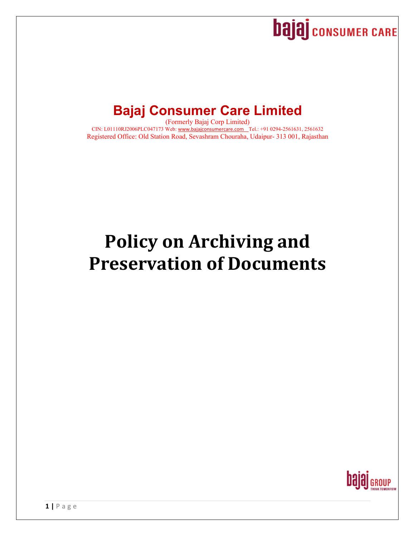

# **Bajaj Consumer Care Limited**

(Formerly Bajaj Corp Limited) CIN: L01110RJ2006PLC047173 Web: www.bajajconsumercare.com Tel.: +91 0294-2561631, 2561632 Registered Office: Old Station Road, Sevashram Chouraha, Udaipur- 313 001, Rajasthan

# **Policy** on **Archiving** and **Preservation of Documents**

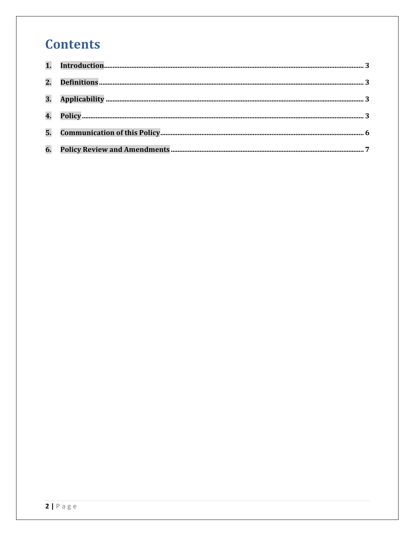# **Contents**

| 6. |  |
|----|--|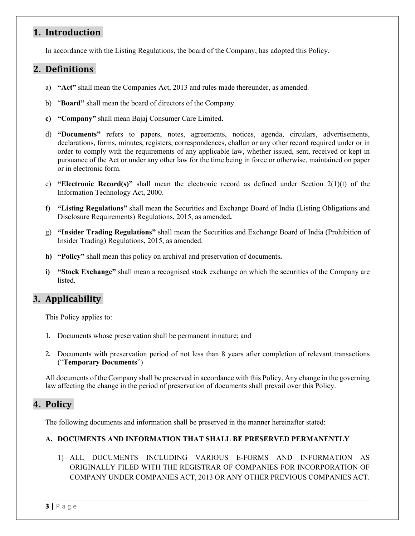### 1. **Introduction**

In accordance with the Listing Regulations, the board of the Company, has adopted this Policy.

#### **2. Definitions**

- a) **"Act"** shall mean the Companies Act, 2013 and rules made thereunder, as amended.
- b) "**Board"** shall mean the board of directors of the Company.
- **c) "Company"** shall mean Bajaj Consumer Care Limited**.**
- d) **"Documents"** refers to papers, notes, agreements, notices, agenda, circulars, advertisements, declarations, forms, minutes, registers, correspondences, challan or any other record required under or in order to comply with the requirements of any applicable law, whether issued, sent, received or kept in pursuance of the Act or under any other law for the time being in force or otherwise, maintained on paper or in electronic form.
- e) **"Electronic Record(s)"** shall mean the electronic record as defined under Section 2(1)(t) of the Information Technology Act, 2000.
- **f) "Listing Regulations"** shall mean the Securities and Exchange Board of India (Listing Obligations and Disclosure Requirements) Regulations, 2015, as amended**.**
- g) **"Insider Trading Regulations"** shall mean the Securities and Exchange Board of India (Prohibition of Insider Trading) Regulations, 2015, as amended.
- **h) "Policy"** shall mean this policy on archival and preservation of documents**.**
- **i) "Stock Exchange"** shall mean a recognised stock exchange on which the securities of the Company are listed.

## **3. Applicability**

This Policy applies to:

- 1. Documents whose preservation shall be permanent in nature; and
- 2. Documents with preservation period of not less than 8 years after completion of relevant transactions ("**Temporary Documents**")

All documents of the Company shall be preserved in accordance with this Policy. Any change in the governing law affecting the change in the period of preservation of documents shall prevail over this Policy.

#### **4. Policy**

The following documents and information shall be preserved in the manner hereinafter stated:

#### **A. DOCUMENTS AND INFORMATION THAT SHALL BE PRESERVED PERMANENTLY**

1) ALL DOCUMENTS INCLUDING VARIOUS E-FORMS AND INFORMATION AS ORIGINALLY FILED WITH THE REGISTRAR OF COMPANIES FOR INCORPORATION OF COMPANY UNDER COMPANIES ACT, 2013 OR ANY OTHER PREVIOUS COMPANIES ACT.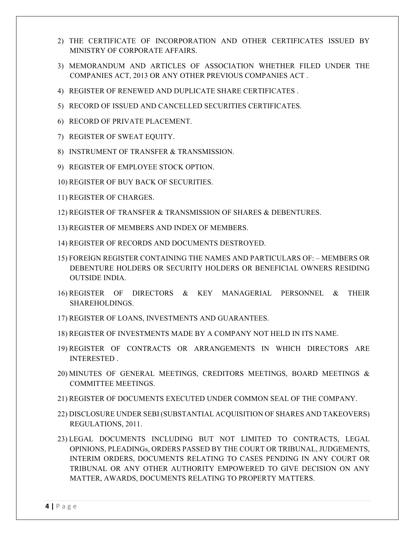- 2) THE CERTIFICATE OF INCORPORATION AND OTHER CERTIFICATES ISSUED BY MINISTRY OF CORPORATE AFFAIRS.
- 3) MEMORANDUM AND ARTICLES OF ASSOCIATION WHETHER FILED UNDER THE COMPANIES ACT, 2013 OR ANY OTHER PREVIOUS COMPANIES ACT .
- 4) REGISTER OF RENEWED AND DUPLICATE SHARE CERTIFICATES .
- 5) RECORD OF ISSUED AND CANCELLED SECURITIES CERTIFICATES.
- 6) RECORD OF PRIVATE PLACEMENT.
- 7) REGISTER OF SWEAT EQUITY.
- 8) INSTRUMENT OF TRANSFER & TRANSMISSION.
- 9) REGISTER OF EMPLOYEE STOCK OPTION.
- 10) REGISTER OF BUY BACK OF SECURITIES.
- 11) REGISTER OF CHARGES.
- 12) REGISTER OF TRANSFER & TRANSMISSION OF SHARES & DEBENTURES.
- 13) REGISTER OF MEMBERS AND INDEX OF MEMBERS.
- 14) REGISTER OF RECORDS AND DOCUMENTS DESTROYED.
- 15) FOREIGN REGISTER CONTAINING THE NAMES AND PARTICULARS OF: MEMBERS OR DEBENTURE HOLDERS OR SECURITY HOLDERS OR BENEFICIAL OWNERS RESIDING OUTSIDE INDIA.
- 16) REGISTER OF DIRECTORS & KEY MANAGERIAL PERSONNEL & THEIR SHAREHOLDINGS.
- 17) REGISTER OF LOANS, INVESTMENTS AND GUARANTEES.
- 18) REGISTER OF INVESTMENTS MADE BY A COMPANY NOT HELD IN ITS NAME.
- 19) REGISTER OF CONTRACTS OR ARRANGEMENTS IN WHICH DIRECTORS ARE INTERESTED .
- 20) MINUTES OF GENERAL MEETINGS, CREDITORS MEETINGS, BOARD MEETINGS & COMMITTEE MEETINGS.
- 21) REGISTER OF DOCUMENTS EXECUTED UNDER COMMON SEAL OF THE COMPANY.
- 22) DISCLOSURE UNDER SEBI (SUBSTANTIAL ACQUISITION OF SHARES AND TAKEOVERS) REGULATIONS, 2011.
- 23) LEGAL DOCUMENTS INCLUDING BUT NOT LIMITED TO CONTRACTS, LEGAL OPINIONS, PLEADINGs, ORDERS PASSED BY THE COURT OR TRIBUNAL, JUDGEMENTS, INTERIM ORDERS, DOCUMENTS RELATING TO CASES PENDING IN ANY COURT OR TRIBUNAL OR ANY OTHER AUTHORITY EMPOWERED TO GIVE DECISION ON ANY MATTER, AWARDS, DOCUMENTS RELATING TO PROPERTY MATTERS.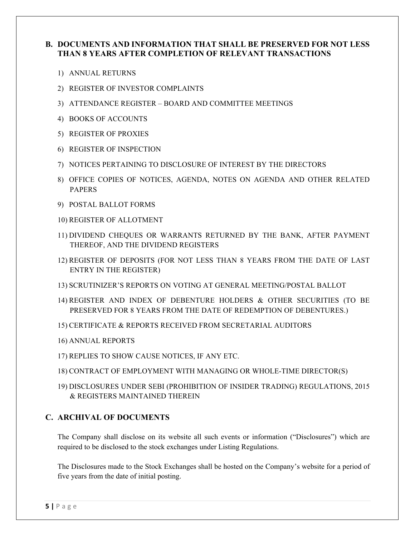#### **B. DOCUMENTS AND INFORMATION THAT SHALL BE PRESERVED FOR NOT LESS THAN 8 YEARS AFTER COMPLETION OF RELEVANT TRANSACTIONS**

- 1) ANNUAL RETURNS
- 2) REGISTER OF INVESTOR COMPLAINTS
- 3) ATTENDANCE REGISTER BOARD AND COMMITTEE MEETINGS
- 4) BOOKS OF ACCOUNTS
- 5) REGISTER OF PROXIES
- 6) REGISTER OF INSPECTION
- 7) NOTICES PERTAINING TO DISCLOSURE OF INTEREST BY THE DIRECTORS
- 8) OFFICE COPIES OF NOTICES, AGENDA, NOTES ON AGENDA AND OTHER RELATED PAPERS
- 9) POSTAL BALLOT FORMS
- 10) REGISTER OF ALLOTMENT
- 11) DIVIDEND CHEQUES OR WARRANTS RETURNED BY THE BANK, AFTER PAYMENT THEREOF, AND THE DIVIDEND REGISTERS
- 12) REGISTER OF DEPOSITS (FOR NOT LESS THAN 8 YEARS FROM THE DATE OF LAST ENTRY IN THE REGISTER)
- 13) SCRUTINIZER'S REPORTS ON VOTING AT GENERAL MEETING/POSTAL BALLOT
- 14) REGISTER AND INDEX OF DEBENTURE HOLDERS & OTHER SECURITIES (TO BE PRESERVED FOR 8 YEARS FROM THE DATE OF REDEMPTION OF DEBENTURES.)
- 15) CERTIFICATE & REPORTS RECEIVED FROM SECRETARIAL AUDITORS
- 16) ANNUAL REPORTS
- 17) REPLIES TO SHOW CAUSE NOTICES, IF ANY ETC.
- 18) CONTRACT OF EMPLOYMENT WITH MANAGING OR WHOLE-TIME DIRECTOR(S)
- 19) DISCLOSURES UNDER SEBI (PROHIBITION OF INSIDER TRADING) REGULATIONS, 2015 & REGISTERS MAINTAINED THEREIN

#### **C. ARCHIVAL OF DOCUMENTS**

The Company shall disclose on its website all such events or information ("Disclosures") which are required to be disclosed to the stock exchanges under Listing Regulations.

The Disclosures made to the Stock Exchanges shall be hosted on the Company's website for a period of five years from the date of initial posting.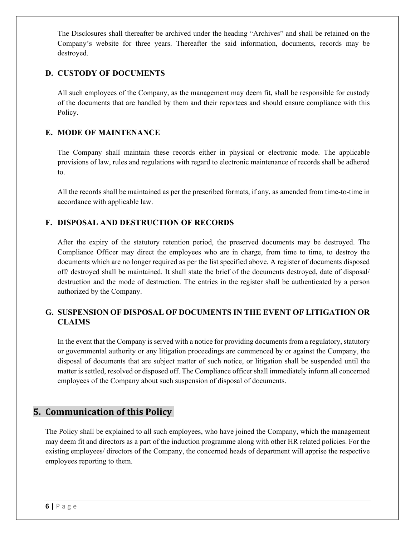The Disclosures shall thereafter be archived under the heading "Archives" and shall be retained on the Company's website for three years. Thereafter the said information, documents, records may be destroyed.

#### **D. CUSTODY OF DOCUMENTS**

All such employees of the Company, as the management may deem fit, shall be responsible for custody of the documents that are handled by them and their reportees and should ensure compliance with this Policy.

#### **E. MODE OF MAINTENANCE**

The Company shall maintain these records either in physical or electronic mode. The applicable provisions of law, rules and regulations with regard to electronic maintenance of records shall be adhered to.

All the records shall be maintained as per the prescribed formats, if any, as amended from time-to-time in accordance with applicable law.

#### **F. DISPOSAL AND DESTRUCTION OF RECORDS**

After the expiry of the statutory retention period, the preserved documents may be destroyed. The Compliance Officer may direct the employees who are in charge, from time to time, to destroy the documents which are no longer required as per the list specified above. A register of documents disposed off/ destroyed shall be maintained. It shall state the brief of the documents destroyed, date of disposal/ destruction and the mode of destruction. The entries in the register shall be authenticated by a person authorized by the Company.

#### **G. SUSPENSION OF DISPOSAL OF DOCUMENTS IN THE EVENT OF LITIGATION OR CLAIMS**

In the event that the Company is served with a notice for providing documents from a regulatory, statutory or governmental authority or any litigation proceedings are commenced by or against the Company, the disposal of documents that are subject matter of such notice, or litigation shall be suspended until the matter is settled, resolved or disposed off. The Compliance officer shall immediately inform all concerned employees of the Company about such suspension of disposal of documents.

#### **5. Communication of this Policy**

The Policy shall be explained to all such employees, who have joined the Company, which the management may deem fit and directors as a part of the induction programme along with other HR related policies. For the existing employees/ directors of the Company, the concerned heads of department will apprise the respective employees reporting to them.